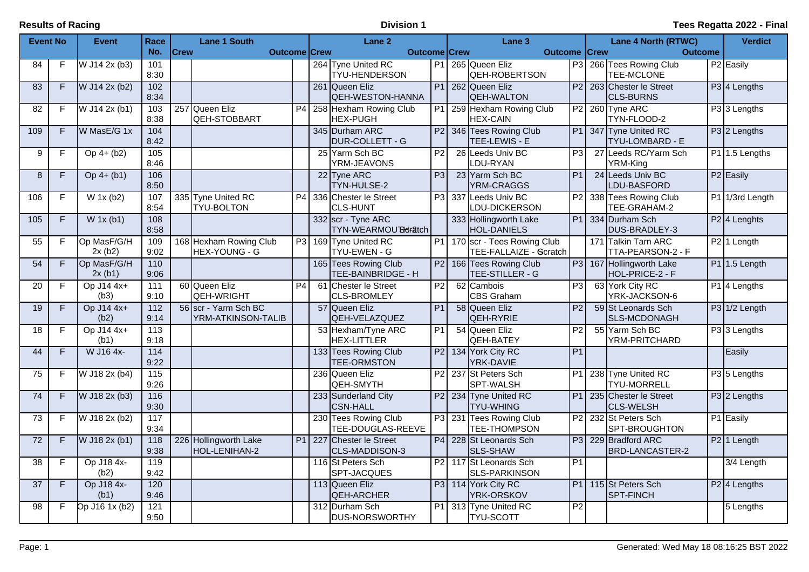| <b>Event No</b>   |                | <b>Event</b>          | Race                      |             | <b>Lane 1 South</b>                        |                |     | Lane <sub>2</sub>                          |                | Lane <sub>3</sub>                                           |                 | <b>Lane 4 North (RTWC)</b>                    | <b>Verdict</b>                      |
|-------------------|----------------|-----------------------|---------------------------|-------------|--------------------------------------------|----------------|-----|--------------------------------------------|----------------|-------------------------------------------------------------|-----------------|-----------------------------------------------|-------------------------------------|
|                   |                |                       | No.                       | <b>Crew</b> | <b>Outcome Crew</b>                        |                |     | <b>Outcome Crew</b>                        |                | <b>Outcome Crew</b>                                         |                 | <b>Outcome</b>                                |                                     |
| 84                | $\mathsf F$    | W J14 2x (b3)         | 101<br>8:30               |             |                                            |                |     | 264 Tyne United RC<br><b>TYU-HENDERSON</b> | P <sub>1</sub> | 265 Queen Eliz<br><b>QEH-ROBERTSON</b>                      |                 | P3 266 Tees Rowing Club<br>TEE-MCLONE         | P <sub>2</sub> Easily               |
| 83                | F              | W J14 2x (b2)         | 102<br>8:34               |             |                                            |                |     | 261 Queen Eliz<br><b>QEH-WESTON-HANNA</b>  |                | P1 262 Queen Eliz<br><b>QEH-WALTON</b>                      | P2              | 263 Chester le Street<br><b>CLS-BURNS</b>     | P <sub>3</sub> 4 Lengths            |
| $\overline{82}$   | $\overline{F}$ | W J14 2x (b1)         | 103<br>8:38               |             | 257 Queen Eliz<br>QEH-STOBBART             | P <sub>4</sub> |     | 258 Hexham Rowing Club<br><b>HEX-PUGH</b>  |                | P1 259 Hexham Rowing Club<br><b>HEX-CAIN</b>                | P2              | 260 Tyne ARC<br>TYN-FLOOD-2                   | P3 3 Lengths                        |
| 109               | F              | W MasE/G 1x           | 104<br>8:42               |             |                                            |                |     | 345 Durham ARC<br>DUR-COLLETT - G          |                | P2 346 Tees Rowing Club<br>TEE-LEWIS - E                    |                 | P1 347 Tyne United RC<br>TYU-LOMBARD - E      | $P3$ 2 Lengths                      |
| 9                 | F              | $Op 4+ (b2)$          | 105<br>8:46               |             |                                            |                |     | 25 Yarm Sch BC<br>YRM-JEAVONS              | P <sub>2</sub> | 26 Leeds Univ BC<br>LDU-RYAN                                | P3              | 27 Leeds RC/Yarm Sch<br>YRM-King              | $P1$ 1.5 Lengths                    |
| $\bf 8$           | F              | $Op 4+(b1)$           | 106<br>8:50               |             |                                            |                |     | 22 Tyne ARC<br>TYN-HULSE-2                 | P3             | 23 Yarm Sch BC<br>YRM-CRAGGS                                | P <sub>1</sub>  | 24 Leeds Univ BC<br>LDU-BASFORD               | P <sub>2</sub> Easily               |
| 106               | F              | $W$ 1x (b2)           | 107<br>8:54               |             | 335 Tyne United RC<br><b>TYU-BOLTON</b>    | P <sub>4</sub> |     | 336 Chester le Street<br><b>CLS-HUNT</b>   |                | P3 337 Leeds Univ BC<br>LDU-DICKERSON                       |                 | P2 338 Tees Rowing Club<br>TEE-GRAHAM-2       | P1 1/3rd Length                     |
| $\frac{105}{105}$ | $\overline{F}$ | $W$ 1x (b1)           | 108<br>8:58               |             |                                            |                |     | 332 scr - Tyne ARC<br>TYN-WEARMOU Bdratch  |                | 333 Hollingworth Lake<br>HOL-DANIELS                        |                 | P1 334 Durham Sch<br>DUS-BRADLEY-3            | P <sub>2</sub> 4 Lenghts            |
| 55                | F              | Op MasF/G/H<br>2x(b2) | 109<br>9:02               |             | 168 Hexham Rowing Club<br>HEX-YOUNG - G    | P3             |     | 169 Tyne United RC<br><b>TYU-EWEN - G</b>  |                | P1   170   scr - Tees Rowing Club<br>TEE-FALLAIZE - Scratch |                 | 171 Talkin Tarn ARC<br>TTA-PEARSON-2 - F      | P <sub>2</sub> 1 Length             |
| 54                | F              | Op MasF/G/H<br>2x(b1) | 110<br>9:06               |             |                                            |                |     | 165 Tees Rowing Club<br>TEE-BAINBRIDGE - H |                | P2   166   Tees Rowing Club<br>TEE-STILLER - G              |                 | P3 167 Hollingworth Lake<br>HOL-PRICE-2 - F   | $P1$ 1.5 Length                     |
| 20                | F              | Op J14 4x+<br>(b3)    | 111<br>9:10               |             | 60 Queen Eliz<br>QEH-WRIGHT                | P <sub>4</sub> | 61  | Chester le Street<br><b>CLS-BROMLEY</b>    | P2             | 62 Cambois<br><b>CBS Graham</b>                             | P3              | 63 York City RC<br>YRK-JACKSON-6              | P1 4 Lengths                        |
| 19                | F              | Op J14 4x+<br>(b2)    | $\frac{112}{2}$<br>9:14   |             | 56 scr - Yarm Sch BC<br>YRM-ATKINSON-TALIB |                |     | 57 Queen Eliz<br>QEH-VELAZQUEZ             | P <sub>1</sub> | 58 Queen Eliz<br>QEH-RYRIE                                  | P <sub>2</sub>  | 59 St Leonards Sch<br>SLS-MCDONAGH            | P3 1/2 Length                       |
| 18                | F              | Op J14 4x+<br>(b1)    | $\overline{113}$<br>9:18  |             |                                            |                |     | 53 Hexham/Tyne ARC<br><b>HEX-LITTLER</b>   | P <sub>1</sub> | 54 Queen Eliz<br>QEH-BATEY                                  | $\overline{P2}$ | 55 Yarm Sch BC<br>YRM-PRITCHARD               | P33 Lengths                         |
| $\overline{44}$   | F              | W J16 4x-             | 114<br>9:22               |             |                                            |                |     | 133 Tees Rowing Club<br><b>TEE-ORMSTON</b> |                | P2 134 York City RC<br>YRK-DAVIE                            | P <sub>1</sub>  |                                               | Easily                              |
| $\overline{75}$   | F              | W J18 2x (b4)         | $\overline{115}$<br>9:26  |             |                                            |                |     | 236 Queen Eliz<br>QEH-SMYTH                |                | P2 237 St Peters Sch<br><b>SPT-WALSH</b>                    | P1              | 238 Tyne United RC<br><b>TYU-MORRELL</b>      | P3 5 Lengths                        |
| 74                | F              | W J18 2x (b3)         | 116<br>9:30               |             |                                            |                |     | 233 Sunderland City<br><b>CSN-HALL</b>     |                | P2 234 Tyne United RC<br><b>TYU-WHING</b>                   |                 | P1 235 Chester le Street<br><b>CLS-WELSH</b>  | P <sub>3</sub> 2 Lengths            |
| $\overline{73}$   | $\mathsf F$    | W J18 2x (b2)         | $\frac{117}{117}$<br>9:34 |             |                                            |                |     | 230 Tees Rowing Club<br>TEE-DOUGLAS-REEVE  |                | P3 231 Tees Rowing Club<br><b>TEE-THOMPSON</b>              | $\overline{P2}$ | 232 St Peters Sch<br>SPT-BROUGHTON            | P1 Easily                           |
| $\overline{72}$   | F              | W J18 2x (b1)         | 118<br>9:38               |             | 226 Hollingworth Lake<br>HOL-LENIHAN-2     | P1             | 227 | <b>Chester le Street</b><br>CLS-MADDISON-3 |                | P4 228 St Leonards Sch<br><b>SLS-SHAW</b>                   |                 | P3 229 Bradford ARC<br><b>BRD-LANCASTER-2</b> | $\overline{P2}$ 1 Length            |
| 38                | F              | Op J18 4x-<br>(b2)    | 119<br>9:42               |             |                                            |                |     | 116 St Peters Sch<br>SPT-JACQUES           |                | P <sub>2</sub> 117 St Leonards Sch<br>SLS-PARKINSON         | P1              |                                               | 3/4 Length                          |
| 37                | F              | Op J18 4x-<br>(b1)    | 120<br>9:46               |             |                                            |                |     | 113 Queen Eliz<br><b>QEH-ARCHER</b>        |                | P3 114 York City RC<br>YRK-ORSKOV                           | P1              | 115 St Peters Sch<br><b>SPT-FINCH</b>         | P <sub>2</sub> <sup>4</sup> Lengths |
| 98                | F              | $Op$ J16 1x (b2)      | 121<br>9:50               |             |                                            |                |     | 312 Durham Sch<br><b>DUS-NORSWORTHY</b>    |                | P1 313 Tyne United RC<br><b>TYU-SCOTT</b>                   | P <sub>2</sub>  |                                               | 5 Lengths                           |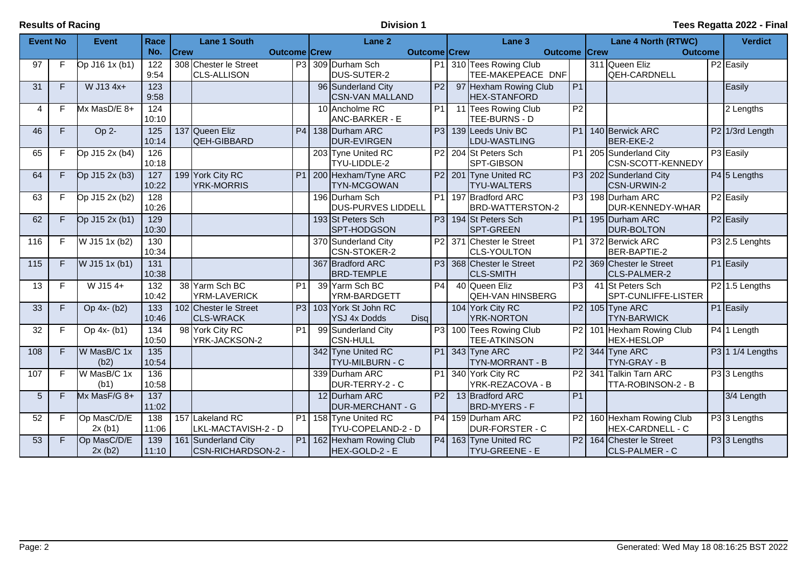| <b>Event No</b> |    | <b>Event</b>          | Race                      |             | <b>Lane 1 South</b>                         |                     | Lane <sub>2</sub>                                  |                | Lane <sub>3</sub>                                          |                 | Lane 4 North (RTWC)                                           | <b>Verdict</b>             |
|-----------------|----|-----------------------|---------------------------|-------------|---------------------------------------------|---------------------|----------------------------------------------------|----------------|------------------------------------------------------------|-----------------|---------------------------------------------------------------|----------------------------|
|                 |    |                       | No.                       | <b>Crew</b> |                                             | <b>Outcome Crew</b> | <b>Outcome Crew</b>                                |                | <b>Outcome Crew</b>                                        |                 | <b>Outcome</b>                                                |                            |
| 97              | F. | Op J16 1x (b1)        | 122<br>9:54               |             | 308 Chester le Street<br><b>CLS-ALLISON</b> | P <sub>3</sub>      | 309 Durham Sch<br>DUS-SUTER-2                      | P1             | 310 Tees Rowing Club<br>TEE-MAKEPEACE DNF                  |                 | 311 Queen Eliz<br>QEH-CARDNELL                                | P <sub>2</sub> Easily      |
| 31              | F  | W J13 4x+             | 123<br>9:58               |             |                                             |                     | 96 Sunderland City<br><b>CSN-VAN MALLAND</b>       | P <sub>2</sub> | 97 Hexham Rowing Club<br><b>HEX-STANFORD</b>               | P1              |                                                               | Easily                     |
| 4               | F  | Mx MasD/E 8+          | 124<br>10:10              |             |                                             |                     | 10 Ancholme RC<br><b>ANC-BARKER - E</b>            | P <sub>1</sub> | 11 Tees Rowing Club<br>TEE-BURNS - D                       | $\overline{P2}$ |                                                               | 2 Lengths                  |
| 46              | F. | Op 2-                 | 125<br>10:14              |             | 137 Queen Eliz<br>QEH-GIBBARD               | P <sub>4</sub>      | 138 Durham ARC<br><b>DUR-EVIRGEN</b>               | P3             | 139 Leeds Univ BC<br>LDU-WASTLING                          | P1              | 140 Berwick ARC<br>BER-EKE-2                                  | P2 1/3rd Length            |
| 65              | F  | Op J15 2x (b4)        | 126<br>10:18              |             |                                             |                     | 203 Tyne United RC<br>TYU-LIDDLE-2                 |                | P2 204 St Peters Sch<br>SPT-GIBSON                         | P1              | 205 Sunderland City<br>CSN-SCOTT-KENNEDY                      | P3 Easily                  |
| 64              | F. | Op J15 2x (b3)        | 127<br>10:22              |             | 199 York City RC<br><b>YRK-MORRIS</b>       | P <sub>1</sub>      | 200 Hexham/Tyne ARC<br><b>TYN-MCGOWAN</b>          |                | P <sub>2</sub> 201 Tyne United RC<br><b>TYU-WALTERS</b>    |                 | P3 202 Sunderland City<br><b>CSN-URWIN-2</b>                  | P4 5 Lengths               |
| 63              | F  | Op J15 2x (b2)        | 128<br>10:26              |             |                                             |                     | 196 Durham Sch<br><b>DUS-PURVES LIDDELL</b>        |                | P1 197 Bradford ARC<br>BRD-WATTERSTON-2                    |                 | P3 198 Durham ARC<br>DUR-KENNEDY-WHAR                         | P <sub>2</sub> Easily      |
| 62              | F. | Op J15 2x (b1)        | 129<br>10:30              |             |                                             |                     | 193 St Peters Sch<br>SPT-HODGSON                   |                | P3 194 St Peters Sch<br><b>SPT-GREEN</b>                   |                 | P1 195 Durham ARC<br><b>DUR-BOLTON</b>                        | P <sub>2</sub> Easily      |
| 116             | F  | W J15 1x (b2)         | 130<br>10:34              |             |                                             |                     | 370 Sunderland City<br><b>CSN-STOKER-2</b>         |                | P <sub>2</sub> 371 Chester le Street<br><b>CLS-YOULTON</b> | P1              | 372 Berwick ARC<br>BER-BAPTIE-2                               | P3 2.5 Lenghts             |
| 115             | F  | $W$ J15 1x (b1)       | $\overline{131}$<br>10:38 |             |                                             |                     | 367 Bradford ARC<br><b>BRD-TEMPLE</b>              |                | P3 368 Chester le Street<br><b>CLS-SMITH</b>               |                 | P2 369 Chester le Street<br>ICLS-PALMER-2                     | P1 Easily                  |
| 13              | F  | W J154+               | $\overline{132}$<br>10:42 |             | 38 Yarm Sch BC<br>YRM-LAVERICK              | P <sub>1</sub>      | 39 Yarm Sch BC<br>YRM-BARDGETT                     | P <sub>4</sub> | 40 Queen Eliz<br><b>QEH-VAN HINSBERG</b>                   | $\overline{P3}$ | 41 St Peters Sch<br>SPT-CUNLIFFE-LISTER                       | P <sub>2</sub> 1.5 Lengths |
| 33              | F. | Op 4x- (b2)           | 133<br>10:46              |             | 102 Chester le Street<br><b>CLS-WRACK</b>   | P3                  | 103 York St John RC<br><b>YSJ 4x Dodds</b><br>Disq |                | 104 York City RC<br><b>YRK-NORTON</b>                      |                 | $P2$ 105 Tyne ARC<br><b>TYN-BARWICK</b>                       | P1 Easily                  |
| 32              | F  | Op 4x- (b1)           | 134<br>10:50              |             | 98 York City RC<br>YRK-JACKSON-2            | P <sub>1</sub>      | 99 Sunderland City<br><b>CSN-HULL</b>              |                | P3 100 Tees Rowing Club<br><b>TEE-ATKINSON</b>             | P2              | 101 Hexham Rowing Club<br><b>HEX-HESLOP</b>                   | $\overline{P4 1}$ Length   |
| 108             | F. | W MasB/C 1x<br>(b2)   | $\overline{135}$<br>10:54 |             |                                             |                     | 342 Tyne United RC<br><b>TYU-MILBURN - C</b>       |                | $PI$ 343 Tyne ARC<br>TYN-MORRANT - B                       |                 | P2 344 Tyne ARC<br><b>TYN-GRAY - B</b>                        | $P3$ 1 1/4 Lengths         |
| 107             | F  | W MasB/C 1x<br>(b1)   | 136<br>10:58              |             |                                             |                     | 339 Durham ARC<br>DUR-TERRY-2 - C                  |                | P1 340 York City RC<br>YRK-REZACOVA - B                    |                 | P2 341 Talkin Tarn ARC<br>TTA-ROBINSON-2 - B                  | P3 3 Lengths               |
| 5               | F. | $Mx$ MasF/G 8+        | 137<br>11:02              |             |                                             |                     | 12 Durham ARC<br><b>DUR-MERCHANT - G</b>           | P2             | 13 Bradford ARC<br><b>BRD-MYERS - F</b>                    | P1              |                                                               | 3/4 Length                 |
| 52              | F  | Op MasC/D/E<br>2x(b1) | 138<br>11:06              |             | 157 Lakeland RC<br>LKL-MACTAVISH-2 - D      | P1                  | 158 Tyne United RC<br>TYU-COPELAND-2 - D           |                | P4 159 Durham ARC<br><b>DUR-FORSTER - C</b>                | P2              | 160 Hexham Rowing Club<br>HEX-CARDNELL - C                    | P3 3 Lengths               |
| 53              | F. | Op MasC/D/E<br>2x(b2) | 139<br>11:10              |             | 161 Sunderland City<br>CSN-RICHARDSON-2 -   | P1                  | 162 Hexham Rowing Club<br>HEX-GOLD-2 - E           |                | P4 163 Tyne United RC<br><b>TYU-GREENE - E</b>             |                 | P <sub>2</sub> 164 Chester le Street<br><b>CLS-PALMER - C</b> | $P3$ 3 Lengths             |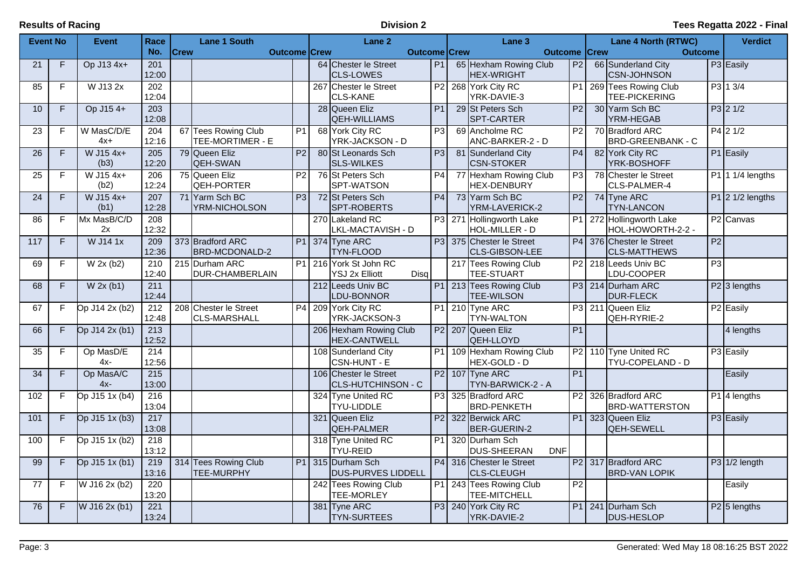| <b>Event No</b> |                | <b>Event</b>        | Race                      |             | <b>Lane 1 South</b>                          |                 | Lane 2                                               |                | Lane 3                                                |                 |             | <b>Lane 4 North (RTWC)</b>                   |                 | <b>Verdict</b>                      |
|-----------------|----------------|---------------------|---------------------------|-------------|----------------------------------------------|-----------------|------------------------------------------------------|----------------|-------------------------------------------------------|-----------------|-------------|----------------------------------------------|-----------------|-------------------------------------|
|                 |                |                     | No.                       | <b>Crew</b> | <b>Outcome Crew</b>                          |                 | <b>Outcome Crew</b>                                  |                | <b>Outcome</b>                                        |                 | <b>Crew</b> | <b>Outcome</b>                               |                 |                                     |
| 21              | F              | Op J13 4x+          | 201<br>12:00              |             |                                              |                 | 64 Chester le Street<br><b>ICLS-LOWES</b>            | P <sub>1</sub> | 65 Hexham Rowing Club<br><b>HEX-WRIGHT</b>            | P <sub>2</sub>  |             | 66 Sunderland City<br><b>CSN-JOHNSON</b>     |                 | P3 Easily                           |
| 85              | F              | W J13 2x            | $\overline{202}$<br>12:04 |             |                                              |                 | 267 Chester le Street<br><b>CLS-KANE</b>             |                | P2 268 York City RC<br>YRK-DAVIE-3                    | P1              |             | 269 Tees Rowing Club<br>TEE-PICKERING        |                 | P3 1 3/4                            |
| 10              | F              | Op J15 4+           | 203<br>12:08              |             |                                              |                 | 28 Queen Eliz<br>QEH-WILLIAMS                        | P <sub>1</sub> | 29 St Peters Sch<br>SPT-CARTER                        | $\overline{P2}$ |             | 30 Yarm Sch BC<br>YRM-HEGAB                  |                 | $P3$ 2 1/2                          |
| $\overline{23}$ | F              | W MasC/D/E<br>$4x+$ | 204<br>12:16              |             | 67 Tees Rowing Club<br>TEE-MORTIMER - E      | $\overline{P1}$ | 68 York City RC<br>YRK-JACKSON - D                   | P3             | 69 Ancholme RC<br>ANC-BARKER-2 - D                    | P <sub>2</sub>  |             | 70 Bradford ARC<br><b>BRD-GREENBANK - C</b>  |                 | $P4$ 2 1/2                          |
| $\overline{26}$ | F              | $W$ J15 4x+<br>(b3) | 205<br>12:20              |             | 79 Queen Eliz<br>QEH-SWAN                    | P <sub>2</sub>  | 80 St Leonards Sch<br><b>SLS-WILKES</b>              | P3             | 81 Sunderland City<br><b>CSN-STOKER</b>               | P4              |             | 82 York City RC<br>YRK-BOSHOFF               |                 | P1 Easily                           |
| $\overline{25}$ | F              | W J15 4x+<br>(b2)   | $\overline{206}$<br>12:24 |             | 75 Queen Eliz<br><b>QEH-PORTER</b>           | $\overline{P2}$ | 76 St Peters Sch<br>SPT-WATSON                       | P4             | 77 Hexham Rowing Club<br><b>HEX-DENBURY</b>           | P3              |             | 78 Chester le Street<br>CLS-PALMER-4         |                 | $P1$ 1/4 lengths                    |
| 24              | F              | W J15 4x+<br>(b1)   | $\overline{207}$<br>12:28 |             | 71 Yarm Sch BC<br>YRM-NICHOLSON              | P <sub>3</sub>  | 72 St Peters Sch<br>SPT-ROBERTS                      | P <sub>4</sub> | 73 Yarm Sch BC<br>YRM-LAVERICK-2                      | P <sub>2</sub>  |             | 74 Tyne ARC<br><b>TYN-LANCON</b>             |                 | $P1$ 2 1/2 lengths                  |
| 86              | F              | Mx MasB/C/D<br>2x   | $\overline{208}$<br>12:32 |             |                                              |                 | 270 Lakeland RC<br>LKL-MACTAVISH - D                 |                | P3 271 Hollingworth Lake<br>HOL-MILLER - D            | <b>P1</b>       |             | 272 Hollingworth Lake<br>HOL-HOWORTH-2-2 -   |                 | P <sub>2</sub> Canvas               |
| 117             | F              | W J14 1x            | 209<br>12:36              |             | 373 Bradford ARC<br>BRD-MCDONALD-2           |                 | P1 374 Tyne ARC<br><b>TYN-FLOOD</b>                  |                | P3 375 Chester le Street<br>CLS-GIBSON-LEE            | P4              |             | 376 Chester le Street<br><b>CLS-MATTHEWS</b> | $\overline{P2}$ |                                     |
| 69              | F              | W 2x (b2)           | 210<br>12:40              |             | 215 Durham ARC<br>DUR-CHAMBERLAIN            | P <sub>1</sub>  | 216 York St John RC<br><b>YSJ 2x Elliott</b><br>Disq |                | 217 Tees Rowing Club<br><b>TEE-STUART</b>             | P2              |             | 218 Leeds Univ BC<br>LDU-COOPER              | $\overline{P3}$ |                                     |
| 68              | $\overline{F}$ | W 2x (b1)           | 211<br>12:44              |             |                                              |                 | 212 Leeds Univ BC<br>LDU-BONNOR                      |                | P1 213 Tees Rowing Club<br><b>TEE-WILSON</b>          |                 |             | P3 214 Durham ARC<br>DUR-FLECK               |                 | P <sub>2</sub> <sup>3</sup> lengths |
| 67              | F              | Op J14 2x (b2)      | 212<br>12:48              |             | 208 Chester le Street<br><b>CLS-MARSHALL</b> | $\overline{P4}$ | 209 York City RC<br>YRK-JACKSON-3                    |                | P1 210 Tyne ARC<br><b>TYN-WALTON</b>                  |                 |             | P3 211 Queen Eliz<br>QEH-RYRIE-2             |                 | P <sub>2</sub> Easily               |
| 66              | F.             | Op J14 2x (b1)      | 213<br>12:52              |             |                                              |                 | 206 Hexham Rowing Club<br><b>HEX-CANTWELL</b>        |                | P2 207 Queen Eliz<br>QEH-LLOYD                        | P <sub>1</sub>  |             |                                              |                 | 4 lengths                           |
| 35              | F              | Op MasD/E<br>$4x -$ | 214<br>12:56              |             |                                              |                 | 108 Sunderland City<br>CSN-HUNT - E                  |                | P1   109   Hexham Rowing Club<br>HEX-GOLD - D         | P2              |             | 110 Tyne United RC<br>TYU-COPELAND - D       |                 | P3 Easily                           |
| $\overline{34}$ | F              | Op MasA/C<br>$4x -$ | 215<br>13:00              |             |                                              |                 | 106 Chester le Street<br><b>CLS-HUTCHINSON - C</b>   |                | P2 107 Tyne ARC<br>TYN-BARWICK-2 - A                  | $\overline{P1}$ |             |                                              |                 | Easily                              |
| 102             | F              | Op J15 1x (b4)      | 216<br>13:04              |             |                                              |                 | 324 Tyne United RC<br><b>TYU-LIDDLE</b>              |                | P3 325 Bradford ARC<br><b>BRD-PENKETH</b>             | P2              |             | 326 Bradford ARC<br><b>BRD-WATTERSTON</b>    |                 | P1 4 lengths                        |
| 101             | $\overline{F}$ | Op J15 1x (b3)      | 217<br>13:08              |             |                                              |                 | 321 Queen Eliz<br>QEH-PALMER                         |                | P2 322 Berwick ARC<br><b>BER-GUERIN-2</b>             | P1              |             | 323 Queen Eliz<br>QEH-SEWELL                 |                 | P3 Easily                           |
| 100             | F              | Op J15 1x (b2)      | $\overline{218}$<br>13:12 |             |                                              |                 | 318 Tyne United RC<br><b>TYU-REID</b>                |                | P1 320 Durham Sch<br><b>DUS-SHEERAN</b><br><b>DNF</b> |                 |             |                                              |                 |                                     |
| 99              | F.             | Op J15 1x (b1)      | 219<br>13:16              |             | 314 Tees Rowing Club<br><b>TEE-MURPHY</b>    | P <sub>1</sub>  | 315 Durham Sch<br><b>DUS-PURVES LIDDELL</b>          |                | P4 316 Chester le Street<br><b>CLS-CLEUGH</b>         | P2              |             | 317 Bradford ARC<br><b>BRD-VAN LOPIK</b>     |                 | $P3$ 1/2 length                     |
| 77              | F              | W J16 2x (b2)       | 220<br>13:20              |             |                                              |                 | 242 Tees Rowing Club<br>TEE-MORLEY                   |                | P1 243 Tees Rowing Club<br>TEE-MITCHELL               | $\overline{P2}$ |             |                                              |                 | Easily                              |
| 76              | F              | W J16 2x (b1)       | $\overline{221}$<br>13:24 |             |                                              |                 | 381 Tyne ARC<br><b>TYN-SURTEES</b>                   |                | P3 240 York City RC<br>YRK-DAVIE-2                    | P1              |             | 241 Durham Sch<br><b>DUS-HESLOP</b>          |                 | P <sub>2</sub> 5 lengths            |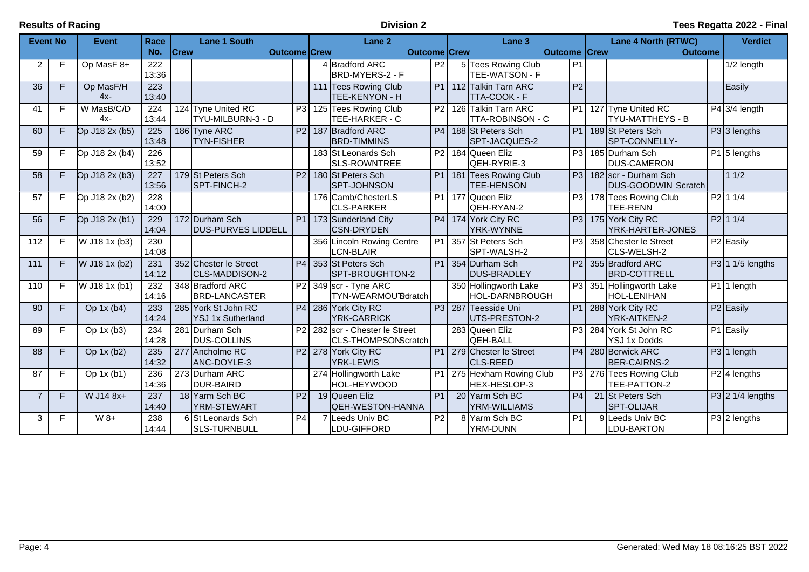| <b>Event No</b> |                         | <b>Event</b>        | Race                      |             | <b>Lane 1 South</b>                             |                | Lane 2                                              |                | Lane <sub>3</sub>                                      |                | Lane 4 North (RTWC)                                | <b>Verdict</b>          |  |
|-----------------|-------------------------|---------------------|---------------------------|-------------|-------------------------------------------------|----------------|-----------------------------------------------------|----------------|--------------------------------------------------------|----------------|----------------------------------------------------|-------------------------|--|
|                 |                         |                     | No.                       | <b>Crew</b> | <b>Outcome Crew</b>                             |                | <b>Outcome Crew</b>                                 |                | <b>Outcome Crew</b>                                    |                | <b>Outcome</b>                                     |                         |  |
| $\overline{2}$  | F                       | Op MasF 8+          | 222<br>13:36              |             |                                                 |                | 4 Bradford ARC<br>BRD-MYERS-2 - F                   | P2             | 5 Tees Rowing Club<br>TEE-WATSON - F                   | P <sub>1</sub> |                                                    | 1/2 length              |  |
| 36              | F                       | Op MasF/H<br>$4x-$  | $\overline{223}$<br>13:40 |             |                                                 |                | 111 Tees Rowing Club<br>TEE-KENYON - H              |                | P1 112 Talkin Tarn ARC<br>TTA-COOK - F                 | P2             |                                                    | Easily                  |  |
| 41              | F                       | W MasB/C/D<br>$4x-$ | 224<br>13:44              |             | 124 Tyne United RC<br>TYU-MILBURN-3 - D         |                | P3 125 Tees Rowing Club<br>TEE-HARKER - C           |                | P <sub>2</sub> 126 Talkin Tarn ARC<br>TTA-ROBINSON - C | P1             | 127 Tyne United RC<br>TYU-MATTHEYS - B             | $P4$ 3/4 length         |  |
| 60              | F.                      | Op J18 2x (b5)      | 225<br>13:48              |             | 186 Tyne ARC<br><b>TYN-FISHER</b>               | P2             | 187 Bradford ARC<br><b>BRD-TIMMINS</b>              |                | P4 188 St Peters Sch<br>SPT-JACQUES-2                  | P1             | 189 St Peters Sch<br><b>SPT-CONNELLY-</b>          | $P3$ 3 lengths          |  |
| 59              | F                       | Op J18 2x (b4)      | 226<br>13:52              |             |                                                 |                | 183 St Leonards Sch<br><b>SLS-ROWNTREE</b>          |                | P2 184 Queen Eliz<br>QEH-RYRIE-3                       | P3             | 185 Durham Sch<br><b>DUS-CAMERON</b>               | P1 <sup>5</sup> lengths |  |
| 58              | F.                      | Op J18 2x (b3)      | 227<br>13:56              |             | 179 St Peters Sch<br>SPT-FINCH-2                | P2             | 180 St Peters Sch<br><b>SPT-JOHNSON</b>             |                | P1 181 Tees Rowing Club<br><b>TEE-HENSON</b>           | P3             | 182 scr - Durham Sch<br><b>DUS-GOODWIN Scratch</b> | 11/2                    |  |
| 57              | F                       | Op J18 2x (b2)      | 228<br>14:00              |             |                                                 |                | 176 Camb/ChesterLS<br><b>CLS-PARKER</b>             |                | P1 177 Queen Eliz<br>QEH-RYAN-2                        |                | P3 178 Tees Rowing Club<br><b>TEE-RENN</b>         | $P2$ 1 1/4              |  |
| $\overline{56}$ | F.                      | Op J18 2x (b1)      | 229<br>14:04              |             | 172 Durham Sch<br><b>DUS-PURVES LIDDELL</b>     |                | P1 173 Sunderland City<br>ICSN-DRYDEN               |                | P4 174 York City RC<br><b>YRK-WYNNE</b>                |                | P3 175 York City RC<br>YRK-HARTER-JONES            | P2 11/4                 |  |
| 112             | F                       | W J18 1x (b3)       | 230<br>14:08              |             |                                                 |                | 356 Lincoln Rowing Centre<br>LCN-BLAIR              |                | P1 357 St Peters Sch<br>SPT-WALSH-2                    | P3             | 358 Chester le Street<br>CLS-WELSH-2               | P <sub>2</sub> Easily   |  |
| 111             | F.                      | W J18 1x (b2)       | 231<br>14:12              |             | 352 Chester le Street<br><b>CLS-MADDISON-2</b>  |                | P4 353 St Peters Sch<br>SPT-BROUGHTON-2             |                | P1 354 Durham Sch<br><b>DUS-BRADLEY</b>                |                | P2 355 Bradford ARC<br><b>BRD-COTTRELL</b>         | $P3$ 1 1/5 lengths      |  |
| 110             | F                       | W J18 1x (b1)       | 232<br>14:16              |             | 348 Bradford ARC<br><b>BRD-LANCASTER</b>        | P2             | 349 scr - Tyne ARC<br>TYN-WEARMOUTHratch            |                | 350 Hollingworth Lake<br>HOL-DARNBROUGH                |                | P3 351 Hollingworth Lake<br><b>HOL-LENIHAN</b>     | P1 1 length             |  |
| 90              | F                       | Op $1x(b4)$         | 233<br>14:24              |             | 285 York St John RC<br><b>YSJ 1x Sutherland</b> |                | P4 286 York City RC<br><b>YRK-CARRICK</b>           |                | P3 287 Teesside Uni<br>UTS-PRESTON-2                   |                | P1 288 York City RC<br>YRK-AITKEN-2                | P <sub>2</sub> Easily   |  |
| 89              | F                       | Op $1x(b3)$         | 234<br>14:28              |             | 281 Durham Sch<br><b>DUS-COLLINS</b>            | P2             | 282 scr - Chester le Street<br>CLS-THOMPSONScratch  |                | 283 Queen Eliz<br><b>QEH-BALL</b>                      | P3             | 284 York St John RC<br><b>YSJ 1x Dodds</b>         | P1 Easily               |  |
| 88              | F                       | Op 1x (b2)          | 235<br>14:32              |             | 277 Ancholme RC<br>ANC-DOYLE-3                  |                | P <sub>2</sub> 278 York City RC<br><b>YRK-LEWIS</b> |                | P1 279 Chester le Street<br><b>CLS-REED</b>            |                | P4 280 Berwick ARC<br>BER-CAIRNS-2                 | P3 1 length             |  |
| 87              | F                       | Op $1x(b1)$         | 236<br>14:36              |             | 273 Durham ARC<br><b>DUR-BAIRD</b>              |                | 274 Hollingworth Lake<br>HOL-HEYWOOD                |                | P1 275 Hexham Rowing Club<br>HEX-HESLOP-3              |                | P3 276 Tees Rowing Club<br>TEE-PATTON-2            | $P2$   4 lengths        |  |
| $\overline{7}$  | $\overline{\mathsf{F}}$ | W J14 8x+           | 237<br>14:40              |             | 18 Yarm Sch BC<br>YRM-STEWART                   | P <sub>2</sub> | 19 Queen Eliz<br>QEH-WESTON-HANNA                   | P <sub>1</sub> | 20 Yarm Sch BC<br><b>YRM-WILLIAMS</b>                  | P <sub>4</sub> | 21 St Peters Sch<br>SPT-OLIJAR                     | $P3$ 2 1/4 lengths      |  |
| 3               | F                       | $W_8+$              | 238<br>14:44              |             | 6 St Leonards Sch<br><b>SLS-TURNBULL</b>        | P <sub>4</sub> | 7 Leeds Univ BC<br>LDU-GIFFORD                      | P <sub>2</sub> | 8 Yarm Sch BC<br>YRM-DUNN                              | P <sub>1</sub> | 9 Leeds Univ BC<br>LDU-BARTON                      | P3 2 lengths            |  |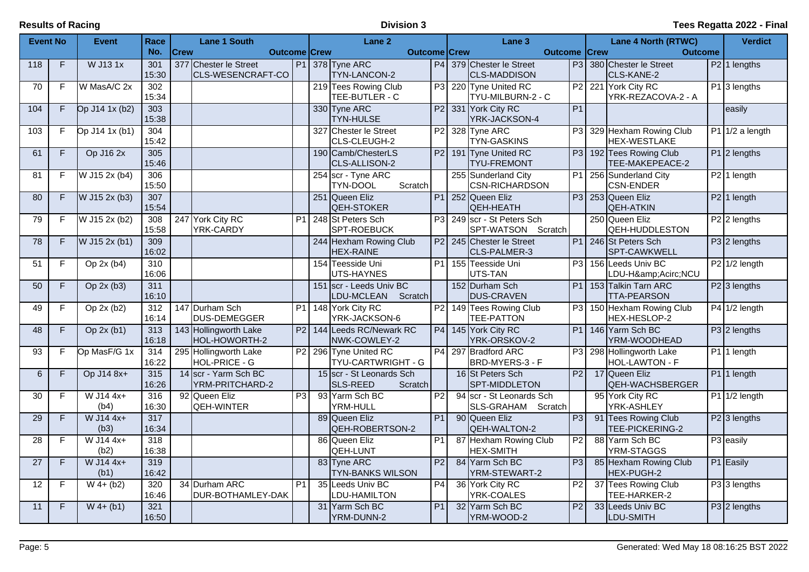| <b>Event No</b> |                | <b>Event</b>        | Race             |             | <b>Lane 1 South</b>                    |                 |     | Lane 2                                             |                 | Lane 3                                           |                | <b>Lane 4 North (RTWC)</b>                     | <b>Verdict</b> |                           |
|-----------------|----------------|---------------------|------------------|-------------|----------------------------------------|-----------------|-----|----------------------------------------------------|-----------------|--------------------------------------------------|----------------|------------------------------------------------|----------------|---------------------------|
|                 |                |                     | No.              | <b>Crew</b> | <b>Outcome Crew</b>                    |                 |     | <b>Outcome Crew</b>                                |                 | <b>Outcome   Crew</b>                            |                | <b>Outcome</b>                                 |                |                           |
| 118             | $\overline{F}$ | W J13 1x            | 301              |             | 377 Chester le Street                  |                 |     | P1 378 Tyne ARC                                    |                 | P4 379 Chester le Street                         |                | P3 380 Chester le Street                       |                | $\overline{P2}$ 1 lengths |
|                 |                |                     | 15:30            |             | CLS-WESENCRAFT-CO                      |                 |     | TYN-LANCON-2                                       |                 | <b>CLS-MADDISON</b>                              |                | CLS-KANE-2                                     |                |                           |
| 70              | F              | W MasA/C 2x         | 302<br>15:34     |             |                                        |                 |     | 219 Tees Rowing Club<br>TEE-BUTLER - C             |                 | P3 220 Tyne United RC<br>TYU-MILBURN-2 - C       | P2             | 221 York City RC<br>YRK-REZACOVA-2 - A         |                | P1 3 lengths              |
| 104             | F              | Op J14 1x (b2)      | 303              |             |                                        |                 |     | 330 Tyne ARC                                       |                 | P2 331 York City RC                              | P <sub>1</sub> |                                                |                | easily                    |
|                 |                |                     | 15:38            |             |                                        |                 |     | <b>TYN-HULSE</b>                                   |                 | YRK-JACKSON-4                                    |                |                                                |                |                           |
| 103             | F              | Op J14 1x (b1)      | 304              |             |                                        |                 | 327 | Chester le Street                                  |                 | P2 328 Tyne ARC                                  | P3             | 329 Hexham Rowing Club                         |                | $P1$ 1/2 a length         |
|                 |                |                     | 15:42            |             |                                        |                 |     | CLS-CLEUGH-2                                       |                 | <b>TYN-GASKINS</b>                               |                | <b>HEX-WESTLAKE</b>                            |                |                           |
| 61              | F              | Op J16 2x           | 305              |             |                                        |                 |     | 190 Camb/ChesterLS                                 |                 | P2 191 Tyne United RC                            |                | P3 192 Tees Rowing Club                        |                | P1 2 lengths              |
|                 |                |                     | 15:46            |             |                                        |                 |     | CLS-ALLISON-2                                      |                 | <b>TYU-FREMONT</b>                               |                | TEE-MAKEPEACE-2                                |                |                           |
| 81              | $\overline{F}$ | W J15 2x (b4)       | 306              |             |                                        |                 |     | 254 scr - Tyne ARC                                 |                 | 255 Sunderland City                              | P1             | 256 Sunderland City                            |                | P2 1 length               |
|                 |                |                     | 15:50            |             |                                        |                 |     | TYN-DOOL<br>Scratch                                |                 | <b>CSN-RICHARDSON</b>                            |                | <b>CSN-ENDER</b>                               |                |                           |
| 80              | F              | W J15 2x (b3)       | $\overline{307}$ |             |                                        |                 |     | 251 Queen Eliz                                     |                 | P1 252 Queen Eliz                                |                | P3 253 Queen Eliz                              |                | $\overline{P2}$ 1 length  |
|                 |                |                     | 15:54            |             |                                        |                 |     | QEH-STOKER                                         |                 | QEH-HEATH                                        |                | <b>QEH-ATKIN</b>                               |                |                           |
| 79              | F              | W J15 2x (b2)       | 308<br>15:58     |             | 247 York City RC<br>YRK-CARDY          | P <sub>1</sub>  |     | 248 St Peters Sch<br><b>SPT-ROEBUCK</b>            |                 | P3 249 scr - St Peters Sch<br>SPT-WATSON Scratch |                | 250 Queen Eliz<br><b>QEH-HUDDLESTON</b>        |                | $P2$ 2 lengths            |
| 78              | F.             | W J15 2x (b1)       | 309              |             |                                        |                 |     | 244 Hexham Rowing Club                             |                 | P2 245 Chester le Street                         |                | P1 246 St Peters Sch                           |                | P3 2 lengths              |
|                 |                |                     | 16:02            |             |                                        |                 |     | <b>HEX-RAINE</b>                                   |                 | CLS-PALMER-3                                     |                | SPT-CAWKWELL                                   |                |                           |
| 51              | F              | Op $2x(b4)$         | 310              |             |                                        |                 |     | 154 Teesside Uni                                   | P1              | 155 Teesside Uni                                 | P <sub>3</sub> | 156 Leeds Univ BC                              |                | $P2$ 1/2 length           |
|                 |                |                     | 16:06            |             |                                        |                 |     | UTS-HAYNES                                         |                 | UTS-TAN                                          |                | LDU-HÂNCU                                      |                |                           |
| 50              | F              | Op 2x (b3)          | 311              |             |                                        |                 |     | 151 Scr - Leeds Univ BC                            |                 | 152 Durham Sch                                   | P1             | 153 Talkin Tarn ARC                            |                | P <sub>2</sub> 3 lengths  |
|                 |                |                     | 16:10            |             |                                        |                 |     | LDU-MCLEAN<br>Scratch                              |                 | <b>DUS-CRAVEN</b>                                |                | <b>TTA-PEARSON</b>                             |                |                           |
| 49              | F              | Op $2x(b2)$         | 312              |             | 147 Durham Sch                         | P1              |     | 148 York City RC                                   |                 | P2 149 Tees Rowing Club                          | P3             | 150 Hexham Rowing Club                         |                | $P4$ 1/2 length           |
|                 |                |                     | 16:14            |             | DUS-DEMEGGER                           |                 |     | YRK-JACKSON-6                                      |                 | <b>TEE-PATTON</b>                                |                | HEX-HESLOP-2                                   |                |                           |
| 48              | F.             | Op $2x(b1)$         | 313              |             | 143 Hollingworth Lake                  | P2              |     | 144 Leeds RC/Newark RC                             |                 | P4 145 York City RC                              | P1             | 146 Yarm Sch BC                                |                | P3 2 lengths              |
|                 |                |                     | 16:18            |             | HOL-HOWORTH-2                          |                 |     | NWK-COWLEY-2                                       |                 | YRK-ORSKOV-2                                     |                | YRM-WOODHEAD                                   |                |                           |
| $\overline{93}$ | F              | Op MasF/G 1x        | 314<br>16:22     |             | 295 Hollingworth Lake<br>HOL-PRICE - G | P2              | 296 | <b>Tyne United RC</b><br><b>TYU-CARTWRIGHT - G</b> |                 | P4 297 Bradford ARC<br>BRD-MYERS-3 - F           | P3             | 298 Hollingworth Lake<br><b>HOL-LAWTON - F</b> |                | P1 1 length               |
| 6               | F.             | Op J14 8x+          | 315              |             | 14 scr - Yarm Sch BC                   |                 |     | 15 scr - St Leonards Sch                           |                 | 16 St Peters Sch                                 | P2             | 17 Queen Eliz                                  |                | P1 1 length               |
|                 |                |                     | 16:26            |             | YRM-PRITCHARD-2                        |                 |     | <b>SLS-REED</b><br>Scratch                         |                 | SPT-MIDDLETON                                    |                | QEH-WACHSBERGER                                |                |                           |
| 30              | F              | W J14 4x+           | 316              |             | 92 Queen Eliz                          | P3              |     | 93 Yarm Sch BC                                     | P <sub>2</sub>  | 94 scr - St Leonards Sch                         |                | 95 York City RC                                |                | $P1$ 1/2 length           |
|                 |                | (b4)                | 16:30            |             | QEH-WINTER                             |                 |     | YRM-HULL                                           |                 | SLS-GRAHAM Scratch                               |                | YRK-ASHLEY                                     |                |                           |
| 29              | F.             | W J14 4x+           | 317              |             |                                        |                 |     | 89 Queen Eliz                                      | $\overline{P1}$ | 90 Queen Eliz                                    | P3             | 91 Tees Rowing Club                            |                | P <sub>2</sub> 3 lengths  |
|                 |                | (b3)                | 16:34            |             |                                        |                 |     | QEH-ROBERTSON-2                                    |                 | QEH-WALTON-2                                     |                | TEE-PICKERING-2                                |                |                           |
| 28              | F              | W J14 4x+           | 318              |             |                                        |                 | 86  | Queen Eliz                                         | P <sub>1</sub>  | 87 Hexham Rowing Club                            | P <sub>2</sub> | 88 Yarm Sch BC                                 |                | P3 easily                 |
|                 |                | (b2)                | 16:38            |             |                                        |                 |     | <b>QEH-LUNT</b>                                    |                 | <b>HEX-SMITH</b>                                 |                | YRM-STAGGS                                     |                |                           |
| 27              | F              | W J14 4x+           | 319              |             |                                        |                 |     | 83 Tyne ARC                                        | P <sub>2</sub>  | 84 Yarm Sch BC                                   | P3             | 85 Hexham Rowing Club                          |                | P1 Easily                 |
| 12              | F              | (b1)<br>$W$ 4+ (b2) | 16:42<br>320     |             | 34 Durham ARC                          | $\overline{P1}$ |     | <b>TYN-BANKS WILSON</b><br>35 Leeds Univ BC        | P4              | YRM-STEWART-2<br>36 York City RC                 | P2             | HEX-PUGH-2<br>37 Tees Rowing Club              |                | P3 3 lengths              |
|                 |                |                     | 16:46            |             | DUR-BOTHAMLEY-DAK                      |                 |     | LDU-HAMILTON                                       |                 | YRK-COALES                                       |                | TEE-HARKER-2                                   |                |                           |
| 11              | F              | $W$ 4+ (b1)         | 321              |             |                                        |                 |     | 31 Yarm Sch BC                                     | P <sub>1</sub>  | 32 Yarm Sch BC                                   | P <sub>2</sub> | 33 Leeds Univ BC                               |                | $P3$ 2 lengths            |
|                 |                |                     | 16:50            |             |                                        |                 |     | YRM-DUNN-2                                         |                 | YRM-WOOD-2                                       |                | LDU-SMITH                                      |                |                           |